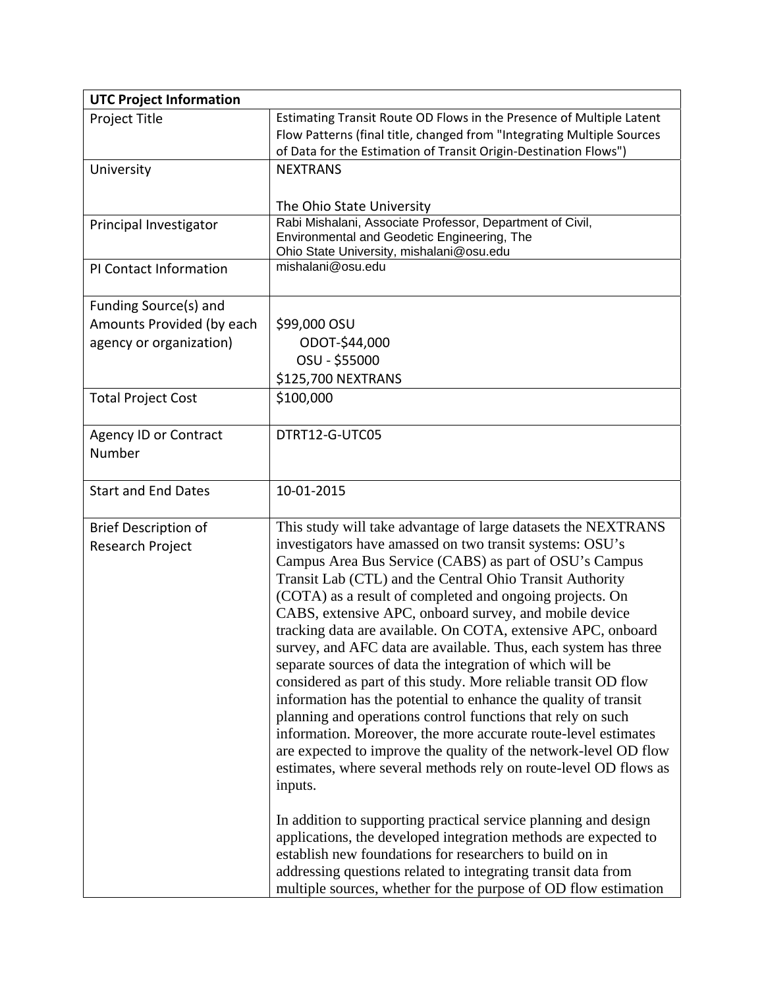| <b>UTC Project Information</b>                  |                                                                                                                                                                                                                                                                                                                                                                                                                                                                                                                                                                                                                                                                                                                                                                                                                                                                                                                                                                                                                                                                                                                                       |
|-------------------------------------------------|---------------------------------------------------------------------------------------------------------------------------------------------------------------------------------------------------------------------------------------------------------------------------------------------------------------------------------------------------------------------------------------------------------------------------------------------------------------------------------------------------------------------------------------------------------------------------------------------------------------------------------------------------------------------------------------------------------------------------------------------------------------------------------------------------------------------------------------------------------------------------------------------------------------------------------------------------------------------------------------------------------------------------------------------------------------------------------------------------------------------------------------|
| Project Title                                   | Estimating Transit Route OD Flows in the Presence of Multiple Latent<br>Flow Patterns (final title, changed from "Integrating Multiple Sources<br>of Data for the Estimation of Transit Origin-Destination Flows")                                                                                                                                                                                                                                                                                                                                                                                                                                                                                                                                                                                                                                                                                                                                                                                                                                                                                                                    |
| University                                      | <b>NEXTRANS</b>                                                                                                                                                                                                                                                                                                                                                                                                                                                                                                                                                                                                                                                                                                                                                                                                                                                                                                                                                                                                                                                                                                                       |
|                                                 | The Ohio State University                                                                                                                                                                                                                                                                                                                                                                                                                                                                                                                                                                                                                                                                                                                                                                                                                                                                                                                                                                                                                                                                                                             |
| Principal Investigator                          | Rabi Mishalani, Associate Professor, Department of Civil,<br>Environmental and Geodetic Engineering, The<br>Ohio State University, mishalani@osu.edu                                                                                                                                                                                                                                                                                                                                                                                                                                                                                                                                                                                                                                                                                                                                                                                                                                                                                                                                                                                  |
| PI Contact Information                          | mishalani@osu.edu                                                                                                                                                                                                                                                                                                                                                                                                                                                                                                                                                                                                                                                                                                                                                                                                                                                                                                                                                                                                                                                                                                                     |
| Funding Source(s) and                           |                                                                                                                                                                                                                                                                                                                                                                                                                                                                                                                                                                                                                                                                                                                                                                                                                                                                                                                                                                                                                                                                                                                                       |
| Amounts Provided (by each                       | \$99,000 OSU                                                                                                                                                                                                                                                                                                                                                                                                                                                                                                                                                                                                                                                                                                                                                                                                                                                                                                                                                                                                                                                                                                                          |
| agency or organization)                         | ODOT-\$44,000                                                                                                                                                                                                                                                                                                                                                                                                                                                                                                                                                                                                                                                                                                                                                                                                                                                                                                                                                                                                                                                                                                                         |
|                                                 | OSU - \$55000                                                                                                                                                                                                                                                                                                                                                                                                                                                                                                                                                                                                                                                                                                                                                                                                                                                                                                                                                                                                                                                                                                                         |
|                                                 | \$125,700 NEXTRANS                                                                                                                                                                                                                                                                                                                                                                                                                                                                                                                                                                                                                                                                                                                                                                                                                                                                                                                                                                                                                                                                                                                    |
| <b>Total Project Cost</b>                       | \$100,000                                                                                                                                                                                                                                                                                                                                                                                                                                                                                                                                                                                                                                                                                                                                                                                                                                                                                                                                                                                                                                                                                                                             |
| <b>Agency ID or Contract</b><br>Number          | DTRT12-G-UTC05                                                                                                                                                                                                                                                                                                                                                                                                                                                                                                                                                                                                                                                                                                                                                                                                                                                                                                                                                                                                                                                                                                                        |
| <b>Start and End Dates</b>                      | 10-01-2015                                                                                                                                                                                                                                                                                                                                                                                                                                                                                                                                                                                                                                                                                                                                                                                                                                                                                                                                                                                                                                                                                                                            |
| <b>Brief Description of</b><br>Research Project | This study will take advantage of large datasets the NEXTRANS<br>investigators have amassed on two transit systems: OSU's<br>Campus Area Bus Service (CABS) as part of OSU's Campus<br>Transit Lab (CTL) and the Central Ohio Transit Authority<br>(COTA) as a result of completed and ongoing projects. On<br>CABS, extensive APC, onboard survey, and mobile device<br>tracking data are available. On COTA, extensive APC, onboard<br>survey, and AFC data are available. Thus, each system has three<br>separate sources of data the integration of which will be<br>considered as part of this study. More reliable transit OD flow<br>information has the potential to enhance the quality of transit<br>planning and operations control functions that rely on such<br>information. Moreover, the more accurate route-level estimates<br>are expected to improve the quality of the network-level OD flow<br>estimates, where several methods rely on route-level OD flows as<br>inputs.<br>In addition to supporting practical service planning and design<br>applications, the developed integration methods are expected to |
|                                                 | establish new foundations for researchers to build on in<br>addressing questions related to integrating transit data from<br>multiple sources, whether for the purpose of OD flow estimation                                                                                                                                                                                                                                                                                                                                                                                                                                                                                                                                                                                                                                                                                                                                                                                                                                                                                                                                          |